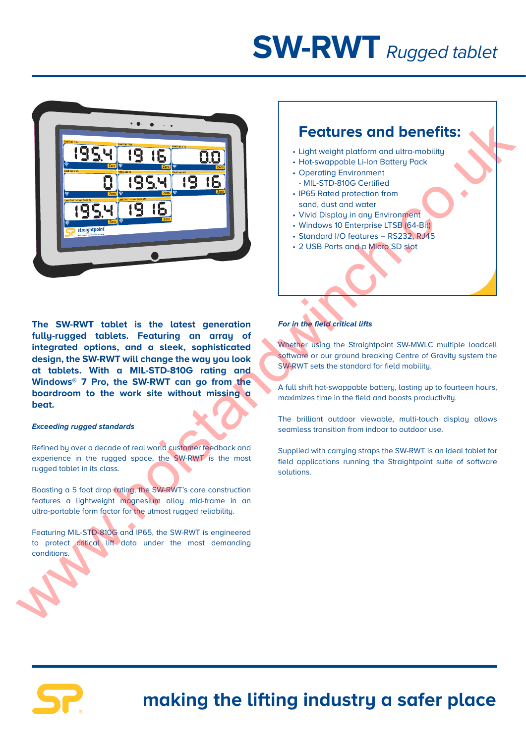# **SW-RWT** Rugged tablet



### **Features and benefits:**

- Light weight platform and ultra-mobility
- Hot-swappable Li-Ion Battery Pack
- Operating Environment - MIL-STD-810G Certified
- IP65 Rated protection from sand, dust and water
- Vivid Display in any Environment
- Windows 10 Enterprise LTSB (64-Bit)
- Standard I/O features RS232, RJ45
- 2 USB Ports and a Micro SD slot

**The SW-RWT tablet is the latest generation fully-rugged tablets. Featuring an array of integrated options, and a sleek, sophisticated design, the SW-RWT will change the way you look at tablets. With a MIL-STD-810G rating and Windows® 7 Pro, the SW-RWT can go from the boardroom to the work site without missing a beat.**

#### **Exceeding rugged standards**

Refined by over a decade of real world customer feedback and experience in the rugged space, the SW-RWT is the most rugged tablet in its class.

Boasting a 5 foot drop rating, the SW-RWT's core construction features a lightweight magnesium alloy mid-frame in an ultra-portable form factor for the utmost rugged reliability.

Featuring MIL-STD-810G and IP65, the SW-RWT is engineered to protect critical lift data under the most demanding conditions.

#### **For in the field critical lifts**

Whether using the Straightpoint SW-MWLC multiple loadcell software or our ground breaking Centre of Gravity system the SW-RWT sets the standard for field mobility.

A full shift hot-swappable battery, lasting up to fourteen hours, maximizes time in the field and boosts productivity.

The brilliant outdoor viewable, multi-touch display allows seamless transition from indoor to outdoor use.

Supplied with carruing straps the SW-RWT is an ideal tablet for field applications running the Straightpoint suite of software solutions.



## **making the lifting industry a safer place**